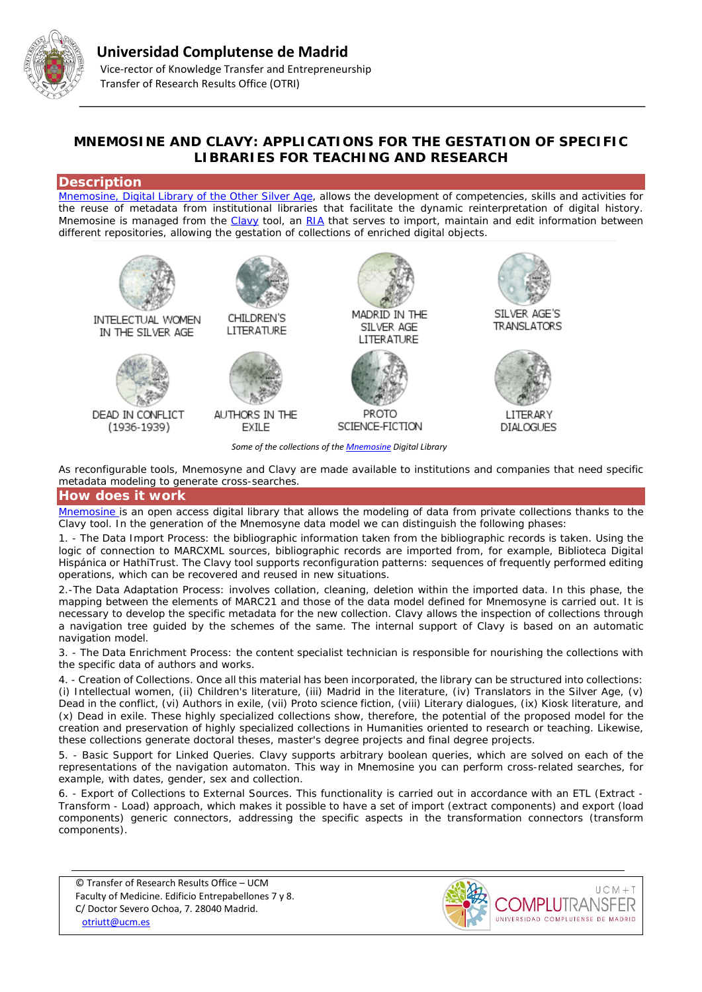

# **MNEMOSINE AND CLAVY: APPLICATIONS FOR THE GESTATION OF SPECIFIC LIBRARIES FOR TEACHING AND RESEARCH**

# **Description**

[Mnemosine, Digital Library of the Other Silver Age,](http://repositorios.fdi.ucm.es/mnemosine/queesmnemosine.php) allows the development of competencies, skills and activities for the reuse of metadata from institutional libraries that facilitate the dynamic reinterpretation of digital history. Mnemosine is managed from the [Clavy](http://clavy.fdi.ucm.es/Clavy/) tool, an [RIA](https://es.wikipedia.org/wiki/Rich_Internet_application) that serves to import, maintain and edit information between different repositories, allowing the gestation of collections of enriched digital objects.



*Some of the collections of th[e Mnemosine](http://repositorios.fdi.ucm.es/mnemosine/queesmnemosine.php) Digital Library*

As reconfigurable tools, Mnemosyne and Clavy are made available to institutions and companies that need specific metadata modeling to generate cross-searches.

## **How does it work**

[Mnemosine i](http://repositorios.fdi.ucm.es/mnemosine/queesmnemosine.php)s an open access digital library that allows the modeling of data from private collections thanks to the Clavy tool. In the generation of the Mnemosyne data model we can distinguish the following phases:

1. - The Data Import Process: the bibliographic information taken from the bibliographic records is taken. Using the logic of connection to MARCXML sources, bibliographic records are imported from, for example, Biblioteca Digital Hispánica or HathiTrust. The Clavy tool supports reconfiguration patterns: sequences of frequently performed editing operations, which can be recovered and reused in new situations.

2.-The Data Adaptation Process: involves collation, cleaning, deletion within the imported data. In this phase, the mapping between the elements of MARC21 and those of the data model defined for Mnemosyne is carried out. It is necessary to develop the specific metadata for the new collection. Clavy allows the inspection of collections through a navigation tree guided by the schemes of the same. The internal support of Clavy is based on an automatic navigation model.

3. - The Data Enrichment Process: the content specialist technician is responsible for nourishing the collections with the specific data of authors and works.

4. - Creation of Collections. Once all this material has been incorporated, the library can be structured into collections: (i) Intellectual women, (ii) Children's literature, (iii) Madrid in the literature, (iv) Translators in the Silver Age, (v) Dead in the conflict, (vi) Authors in exile, (vii) Proto science fiction, (viii) Literary dialogues, (ix) Kiosk literature, and (x) Dead in exile. These highly specialized collections show, therefore, the potential of the proposed model for the creation and preservation of highly specialized collections in Humanities oriented to research or teaching. Likewise, these collections generate doctoral theses, master's degree projects and final degree projects.

5. - Basic Support for Linked Queries. Clavy supports arbitrary boolean queries, which are solved on each of the representations of the navigation automaton. This way in Mnemosine you can perform cross-related searches, for example, with dates, gender, sex and collection.

6. - Export of Collections to External Sources. This functionality is carried out in accordance with an ETL (Extract - Transform - Load) approach, which makes it possible to have a set of import (extract components) and export (load components) generic connectors, addressing the specific aspects in the transformation connectors (transform components).

© Transfer of Research Results Office – UCM Faculty of Medicine. Edificio Entrepabellones 7 y 8. C/ Doctor Severo Ochoa, 7. 28040 Madrid. [otriutt@ucm.es](mailto:otriutt@ucm.es;dromero@filol.ucm.es?subject=MNEMOSINE%20AND%20CLAVY:%20APPLICATIONS%20FOR%20THE%20GESTATION%20OF%20SPECIFIC%20LIBRARIES%20FOR%20TEACHING%20AND%20RESEARCH)